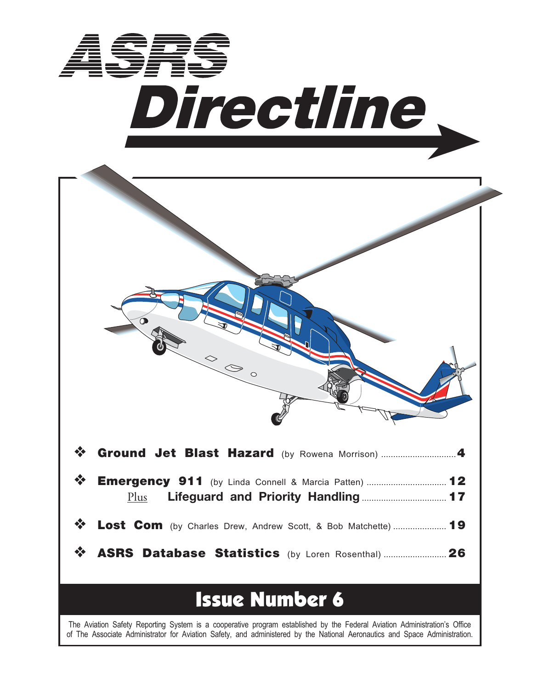

of The Associate Administrator for Aviation Safety, and administered by the National Aeronautics and Space Administration.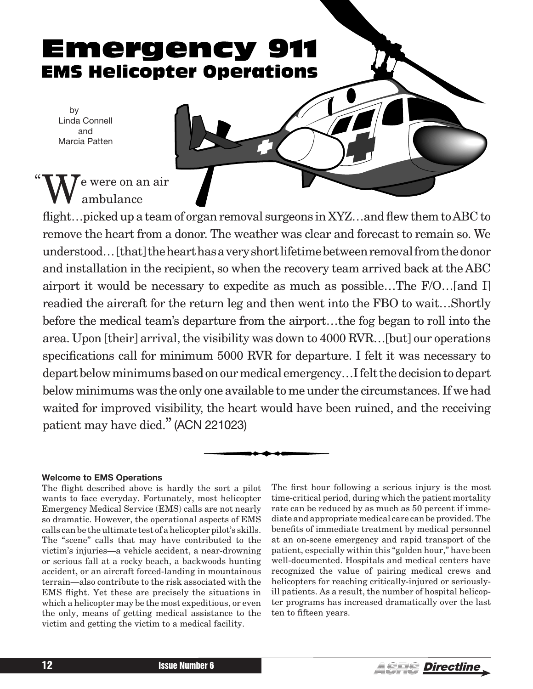# **Emergency 911 EMS Helicopter Operations**

 by Linda Connell and Marcia Patten

" e were on an air ambulance

flight…picked up a team of organ removal surgeons in XYZ…and flew them to ABC to remove the heart from a donor. The weather was clear and forecast to remain so. We understood… [that] the heart has a very short lifetime between removal from the donor and installation in the recipient, so when the recovery team arrived back at the ABC airport it would be necessary to expedite as much as possible…The F/O…[and I] readied the aircraft for the return leg and then went into the FBO to wait…Shortly before the medical team's departure from the airport…the fog began to roll into the area. Upon [their] arrival, the visibility was down to 4000 RVR…[but] our operations specifications call for minimum 5000 RVR for departure. I felt it was necessary to depart below minimums based on our medical emergency…I felt the decision to depart below minimums was the only one available to me under the circumstances. If we had waited for improved visibility, the heart would have been ruined, and the receiving patient may have died."(ACN 221023)

# **Welcome to EMS Operations**

The flight described above is hardly the sort a pilot wants to face everyday. Fortunately, most helicopter Emergency Medical Service (EMS) calls are not nearly so dramatic. However, the operational aspects of EMS calls can be the ultimate test of a helicopter pilot's skills. The "scene" calls that may have contributed to the victim's injuries—a vehicle accident, a near-drowning or serious fall at a rocky beach, a backwoods hunting accident, or an aircraft forced-landing in mountainous terrain—also contribute to the risk associated with the EMS flight. Yet these are precisely the situations in which a helicopter may be the most expeditious, or even the only, means of getting medical assistance to the victim and getting the victim to a medical facility.

The first hour following a serious injury is the most time-critical period, during which the patient mortality rate can be reduced by as much as 50 percent if immediate and appropriate medical care can be provided. The benefits of immediate treatment by medical personnel at an on-scene emergency and rapid transport of the patient, especially within this "golden hour," have been well-documented. Hospitals and medical centers have recognized the value of pairing medical crews and helicopters for reaching critically-injured or seriouslyill patients. As a result, the number of hospital helicopter programs has increased dramatically over the last ten to fifteen years.

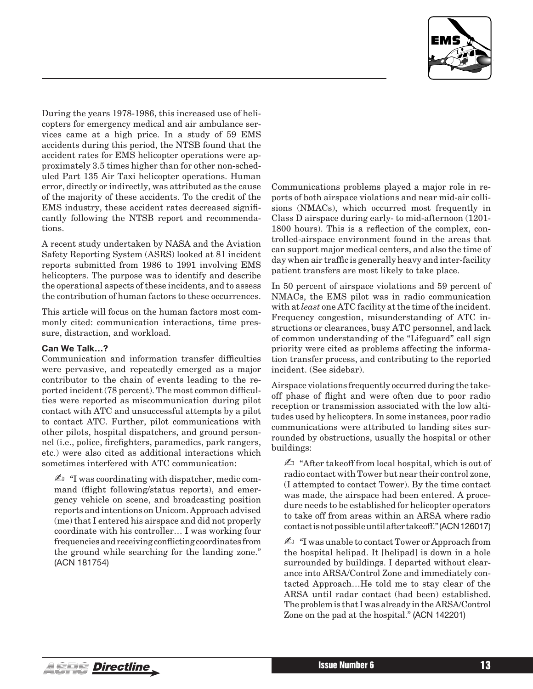

During the years 1978-1986, this increased use of helicopters for emergency medical and air ambulance services came at a high price. In a study of 59 EMS accidents during this period, the NTSB found that the accident rates for EMS helicopter operations were approximately 3.5 times higher than for other non-scheduled Part 135 Air Taxi helicopter operations. Human error, directly or indirectly, was attributed as the cause of the majority of these accidents. To the credit of the EMS industry, these accident rates decreased significantly following the NTSB report and recommendations.

A recent study undertaken by NASA and the Aviation Safety Reporting System (ASRS) looked at 81 incident reports submitted from 1986 to 1991 involving EMS helicopters. The purpose was to identify and describe the operational aspects of these incidents, and to assess the contribution of human factors to these occurrences.

This article will focus on the human factors most commonly cited: communication interactions, time pressure, distraction, and workload.

## **Can We Talk…?**

Communication and information transfer difficulties were pervasive, and repeatedly emerged as a major contributor to the chain of events leading to the reported incident (78 percent). The most common difficulties were reported as miscommunication during pilot contact with ATC and unsuccessful attempts by a pilot to contact ATC. Further, pilot communications with other pilots, hospital dispatchers, and ground personnel (i.e., police, firefighters, paramedics, park rangers, etc.) were also cited as additional interactions which sometimes interfered with ATC communication:

 $\mathbb{Z}$ <sup>1</sup> "I was coordinating with dispatcher, medic command (flight following/status reports), and emergency vehicle on scene, and broadcasting position reports and intentions on Unicom. Approach advised (me) that I entered his airspace and did not properly coordinate with his controller… I was working four frequencies and receiving conflicting coordinates from the ground while searching for the landing zone." (ACN 181754)

Communications problems played a major role in reports of both airspace violations and near mid-air collisions (NMACs), which occurred most frequently in Class D airspace during early- to mid-afternoon (1201- 1800 hours). This is a reflection of the complex, controlled-airspace environment found in the areas that can support major medical centers, and also the time of day when air traffic is generally heavy and inter-facility patient transfers are most likely to take place.

In 50 percent of airspace violations and 59 percent of NMACs, the EMS pilot was in radio communication with at *least* one ATC facility at the time of the incident. Frequency congestion, misunderstanding of ATC instructions or clearances, busy ATC personnel, and lack of common understanding of the "Lifeguard" call sign priority were cited as problems affecting the information transfer process, and contributing to the reported incident. (See sidebar).

Airspace violations frequently occurred during the takeoff phase of flight and were often due to poor radio reception or transmission associated with the low altitudes used by helicopters. In some instances, poor radio communications were attributed to landing sites surrounded by obstructions, usually the hospital or other buildings:

 $\mathbb{Z}$ <sup>1</sup> "After takeoff from local hospital, which is out of radio contact with Tower but near their control zone, (I attempted to contact Tower). By the time contact was made, the airspace had been entered. A procedure needs to be established for helicopter operators to take off from areas within an ARSA where radio contact is not possible until after takeoff." (ACN 126017)

 $\mathbb{Z}$ <sup>1</sup> "I was unable to contact Tower or Approach from the hospital helipad. It [helipad] is down in a hole surrounded by buildings. I departed without clearance into ARSA/Control Zone and immediately contacted Approach…He told me to stay clear of the ARSA until radar contact (had been) established. The problem is that I was already in the ARSA/Control Zone on the pad at the hospital." (ACN 142201)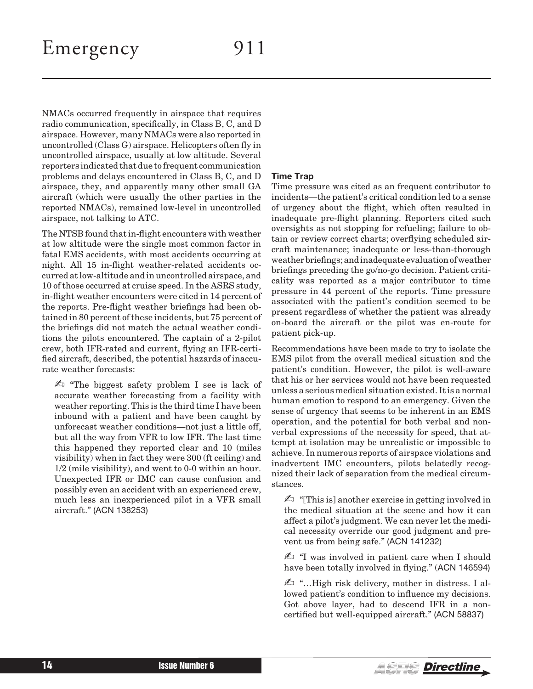NMACs occurred frequently in airspace that requires radio communication, specifically, in Class B, C, and D airspace. However, many NMACs were also reported in uncontrolled (Class G) airspace. Helicopters often fly in uncontrolled airspace, usually at low altitude. Several reporters indicated that due to frequent communication problems and delays encountered in Class B, C, and D airspace, they, and apparently many other small GA aircraft (which were usually the other parties in the reported NMACs), remained low-level in uncontrolled airspace, not talking to ATC.

The NTSB found that in-flight encounters with weather at low altitude were the single most common factor in fatal EMS accidents, with most accidents occurring at night. All 15 in-flight weather-related accidents occurred at low-altitude and in uncontrolled airspace, and 10 of those occurred at cruise speed. In the ASRS study, in-flight weather encounters were cited in 14 percent of the reports. Pre-flight weather briefings had been obtained in 80 percent of these incidents, but 75 percent of the briefings did not match the actual weather conditions the pilots encountered. The captain of a 2-pilot crew, both IFR-rated and current, flying an IFR-certified aircraft, described, the potential hazards of inaccurate weather forecasts:

✍ "The biggest safety problem I see is lack of accurate weather forecasting from a facility with weather reporting. This is the third time I have been inbound with a patient and have been caught by unforecast weather conditions—not just a little off, but all the way from VFR to low IFR. The last time this happened they reported clear and 10 (miles visibility) when in fact they were 300 (ft ceiling) and 1/2 (mile visibility), and went to 0-0 within an hour. Unexpected IFR or IMC can cause confusion and possibly even an accident with an experienced crew, much less an inexperienced pilot in a VFR small aircraft." (ACN 138253)

# **Time Trap**

Time pressure was cited as an frequent contributor to incidents—the patient's critical condition led to a sense of urgency about the flight, which often resulted in inadequate pre-flight planning. Reporters cited such oversights as not stopping for refueling; failure to obtain or review correct charts; overflying scheduled aircraft maintenance; inadequate or less-than-thorough weather briefings; and inadequate evaluation of weather briefings preceding the go/no-go decision. Patient criticality was reported as a major contributor to time pressure in 44 percent of the reports. Time pressure associated with the patient's condition seemed to be present regardless of whether the patient was already on-board the aircraft or the pilot was en-route for patient pick-up.

Recommendations have been made to try to isolate the EMS pilot from the overall medical situation and the patient's condition. However, the pilot is well-aware that his or her services would not have been requested unless a serious medical situation existed. It is a normal human emotion to respond to an emergency. Given the sense of urgency that seems to be inherent in an EMS operation, and the potential for both verbal and nonverbal expressions of the necessity for speed, that attempt at isolation may be unrealistic or impossible to achieve. In numerous reports of airspace violations and inadvertent IMC encounters, pilots belatedly recognized their lack of separation from the medical circumstances.

 $\mathbb{Z}$ <sup>1</sup> "[This is] another exercise in getting involved in the medical situation at the scene and how it can affect a pilot's judgment. We can never let the medical necessity override our good judgment and prevent us from being safe." (ACN 141232)

 $\mathbb{Z}$ <sup>1</sup> "I was involved in patient care when I should have been totally involved in flying." (ACN 146594)

 $\mathbb{Z}$ <sup>6</sup> ...High risk delivery, mother in distress. I allowed patient's condition to influence my decisions. Got above layer, had to descend IFR in a noncertified but well-equipped aircraft." (ACN 58837)

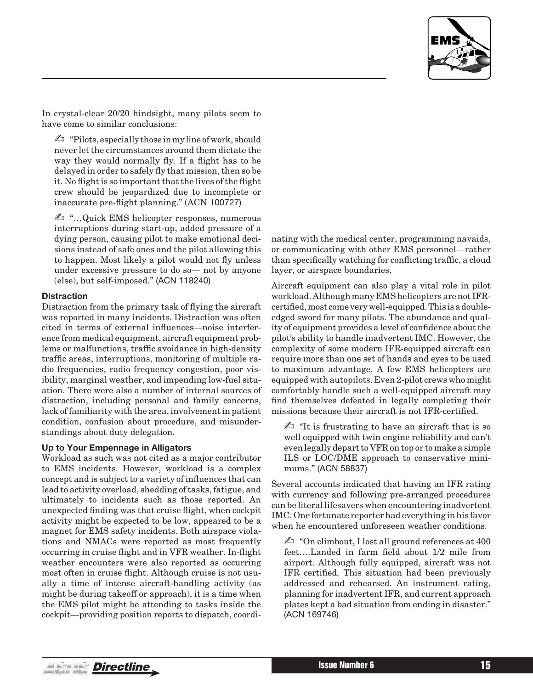

In crystal-clear 20/20 hindsight, many pilots seem to have come to similar conclusions:

 $\mathbb{Z}$  "Pilots, especially those in my line of work, should never let the circumstances around them dictate the way they would normally fly. If a flight has to be delayed in order to safely fly that mission, then so be it. No flight is so important that the lives of the flight crew should be jeopardized due to incomplete or inaccurate pre-flight planning." (ACN 100727)

 $\mathbb{Z}$ <sup>"</sup>...Quick EMS helicopter responses, numerous interruptions during start-up, added pressure of a dying person, causing pilot to make emotional decisions instead of safe ones and the pilot allowing this to happen. Most likely a pilot would not fly unless under excessive pressure to do so— not by anyone (else), but self-imposed." (ACN 118240)

### **Distraction**

Distraction from the primary task of flying the aircraft was reported in many incidents. Distraction was often cited in terms of external influences—noise interference from medical equipment, aircraft equipment problems or malfunctions, traffic avoidance in high-density traffic areas, interruptions, monitoring of multiple radio frequencies, radio frequency congestion, poor visibility, marginal weather, and impending low-fuel situation. There were also a number of internal sources of distraction, including personal and family concerns, lack of familiarity with the area, involvement in patient condition, confusion about procedure, and misunderstandings about duty delegation.

#### **Up to Your Empennage in Alligators**

Workload as such was not cited as a major contributor to EMS incidents. However, workload is a complex concept and is subject to a variety of influences that can lead to activity overload, shedding of tasks, fatigue, and ultimately to incidents such as those reported. An unexpected finding was that cruise flight, when cockpit activity might be expected to be low, appeared to be a magnet for EMS safety incidents. Both airspace violations and NMACs were reported as most frequently occurring in cruise flight and in VFR weather. In-flight weather encounters were also reported as occurring most often in cruise flight. Although cruise is not usually a time of intense aircraft-handling activity (as might be during takeoff or approach), it is a time when the EMS pilot might be attending to tasks inside the cockpit—providing position reports to dispatch, coordi-

nating with the medical center, programming navaids, or communicating with other EMS personnel—rather than specifically watching for conflicting traffic, a cloud layer, or airspace boundaries.

Aircraft equipment can also play a vital role in pilot workload. Although many EMS helicopters are not IFRcertified, most come very well-equipped. This is a doubleedged sword for many pilots. The abundance and quality of equipment provides a level of confidence about the pilot's ability to handle inadvertent IMC. However, the complexity of some modern IFR-equipped aircraft can require more than one set of hands and eyes to be used to maximum advantage. A few EMS helicopters are equipped with autopilots. Even 2-pilot crews who might comfortably handle such a well-equipped aircraft may find themselves defeated in legally completing their missions because their aircraft is not IFR-certified.

 $\mathbb{Z}$ <sup>1</sup> "It is frustrating to have an aircraft that is so well equipped with twin engine reliability and can't even legally depart to VFR on top or to make a simple ILS or LOC/DME approach to conservative minimums." (ACN 58837)

Several accounts indicated that having an IFR rating with currency and following pre-arranged procedures can be literal lifesavers when encountering inadvertent IMC. One fortunate reporter had everything in his favor when he encountered unforeseen weather conditions.

 $\triangle$  "On climbout, I lost all ground references at 400 feet….Landed in farm field about 1/2 mile from airport. Although fully equipped, aircraft was not IFR certified. This situation had been previously addressed and rehearsed. An instrument rating, planning for inadvertent IFR, and current approach plates kept a bad situation from ending in disaster." (ACN 169746)

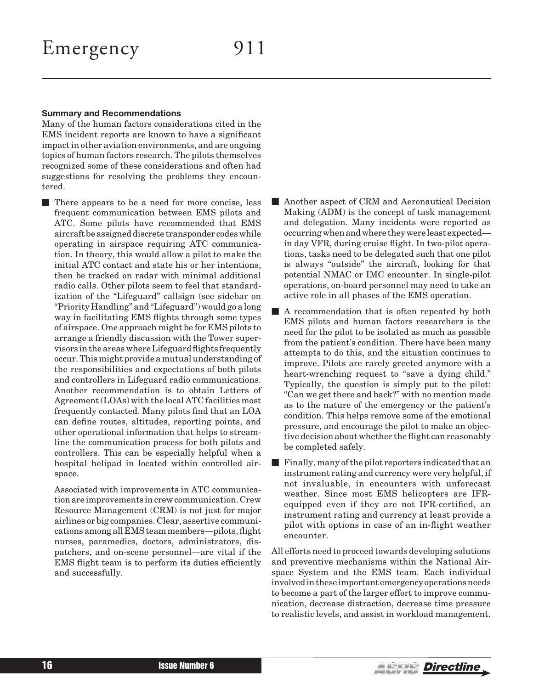#### **Summary and Recommendations**

Many of the human factors considerations cited in the EMS incident reports are known to have a significant impact in other aviation environments, and are ongoing topics of human factors research. The pilots themselves recognized some of these considerations and often had suggestions for resolving the problems they encountered.

■ There appears to be a need for more concise, less frequent communication between EMS pilots and ATC. Some pilots have recommended that EMS aircraft be assigned discrete transponder codes while operating in airspace requiring ATC communication. In theory, this would allow a pilot to make the initial ATC contact and state his or her intentions, then be tracked on radar with minimal additional radio calls. Other pilots seem to feel that standardization of the "Lifeguard" callsign (see sidebar on "Priority Handling" and "Lifeguard") would go a long way in facilitating EMS flights through some types of airspace. One approach might be for EMS pilots to arrange a friendly discussion with the Tower supervisors in the areas where Lifeguard flights frequently occur. This might provide a mutual understanding of the responsibilities and expectations of both pilots and controllers in Lifeguard radio communications. Another recommendation is to obtain Letters of Agreement (LOAs) with the local ATC facilities most frequently contacted. Many pilots find that an LOA can define routes, altitudes, reporting points, and other operational information that helps to streamline the communication process for both pilots and controllers. This can be especially helpful when a hospital helipad in located within controlled airspace.

Associated with improvements in ATC communication are improvements in crew communication. Crew Resource Management (CRM) is not just for major airlines or big companies. Clear, assertive communications among all EMS team members—pilots, flight nurses, paramedics, doctors, administrators, dispatchers, and on-scene personnel—are vital if the EMS flight team is to perform its duties efficiently and successfully.

- - Another aspect of CRM and Aeronautical Decision Making (ADM) is the concept of task management and delegation. Many incidents were reported as occurring when and where they were least expected in day VFR, during cruise flight. In two-pilot operations, tasks need to be delegated such that one pilot is always "outside" the aircraft, looking for that potential NMAC or IMC encounter. In single-pilot operations, on-board personnel may need to take an active role in all phases of the EMS operation.
- - A recommendation that is often repeated by both EMS pilots and human factors researchers is the need for the pilot to be isolated as much as possible from the patient's condition. There have been many attempts to do this, and the situation continues to improve. Pilots are rarely greeted anymore with a heart-wrenching request to "save a dying child." Typically, the question is simply put to the pilot: "Can we get there and back?" with no mention made as to the nature of the emergency or the patient's condition. This helps remove some of the emotional pressure, and encourage the pilot to make an objective decision about whether the flight can reasonably be completed safely.
- Finally, many of the pilot reporters indicated that an instrument rating and currency were very helpful, if not invaluable, in encounters with unforecast weather. Since most EMS helicopters are IFRequipped even if they are not IFR-certified, an instrument rating and currency at least provide a pilot with options in case of an in-flight weather encounter.

All efforts need to proceed towards developing solutions and preventive mechanisms within the National Airspace System and the EMS team. Each individual involved in these important emergency operations needs to become a part of the larger effort to improve communication, decrease distraction, decrease time pressure to realistic levels, and assist in workload management.

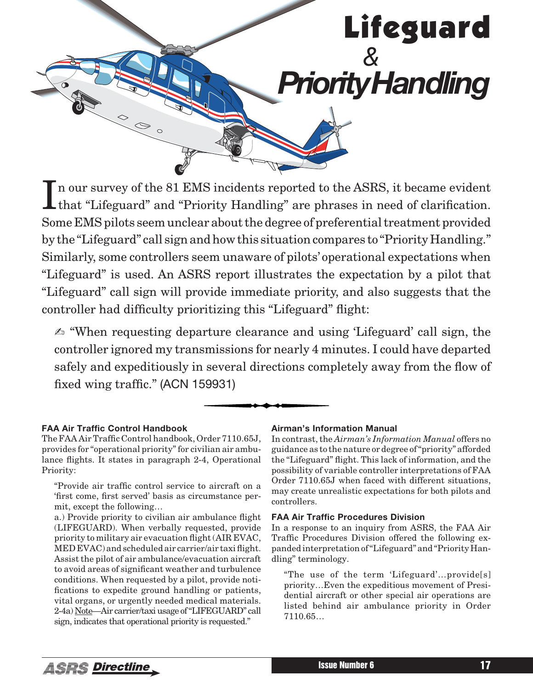

In our survey of the 81 EMS incidents reported to the ASRS, it became evident that "Lifeguard" and "Priority Handling" are phrases in need of clarification. that "Lifeguard" and "Priority Handling" are phrases in need of clarification. Some EMS pilots seem unclear about the degree of preferential treatment provided by the "Lifeguard" call sign and how this situation compares to "Priority Handling." Similarly, some controllers seem unaware of pilots' operational expectations when "Lifeguard" is used. An ASRS report illustrates the expectation by a pilot that "Lifeguard" call sign will provide immediate priority, and also suggests that the controller had difficulty prioritizing this "Lifeguard" flight:

 $\triangle$  "When requesting departure clearance and using 'Lifeguard' call sign, the controller ignored my transmissions for nearly 4 minutes. I could have departed safely and expeditiously in several directions completely away from the flow of fixed wing traffic." (ACN 159931)



# **FAA Air Traffic Control Handbook**

The FAA Air Traffic Control handbook, Order 7110.65J, provides for "operational priority" for civilian air ambulance flights. It states in paragraph 2-4, Operational Priority:

"Provide air traffic control service to aircraft on a 'first come, first served' basis as circumstance permit, except the following…

a.) Provide priority to civilian air ambulance flight (LIFEGUARD). When verbally requested, provide priority to military air evacuation flight (AIR EVAC, MED EVAC) and scheduled air carrier/air taxi flight. Assist the pilot of air ambulance/evacuation aircraft to avoid areas of significant weather and turbulence conditions. When requested by a pilot, provide notifications to expedite ground handling or patients, vital organs, or urgently needed medical materials. 2-4a) Note—Air carrier/taxi usage of "LIFEGUARD" call sign, indicates that operational priority is requested."

## **Airman's Information Manual**

In contrast, the *Airman's Information Manual* offers no guidance as to the nature or degree of "priority" afforded the "Lifeguard" flight. This lack of information, and the possibility of variable controller interpretations of FAA Order 7110.65J when faced with different situations, may create unrealistic expectations for both pilots and controllers.

## **FAA Air Traffic Procedures Division**

In a response to an inquiry from ASRS, the FAA Air Traffic Procedures Division offered the following expanded interpretation of "Lifeguard" and "Priority Handling" terminology.

"The use of the term 'Lifeguard'…provide[s] priority…Even the expeditious movement of Presidential aircraft or other special air operations are listed behind air ambulance priority in Order 7110.65…